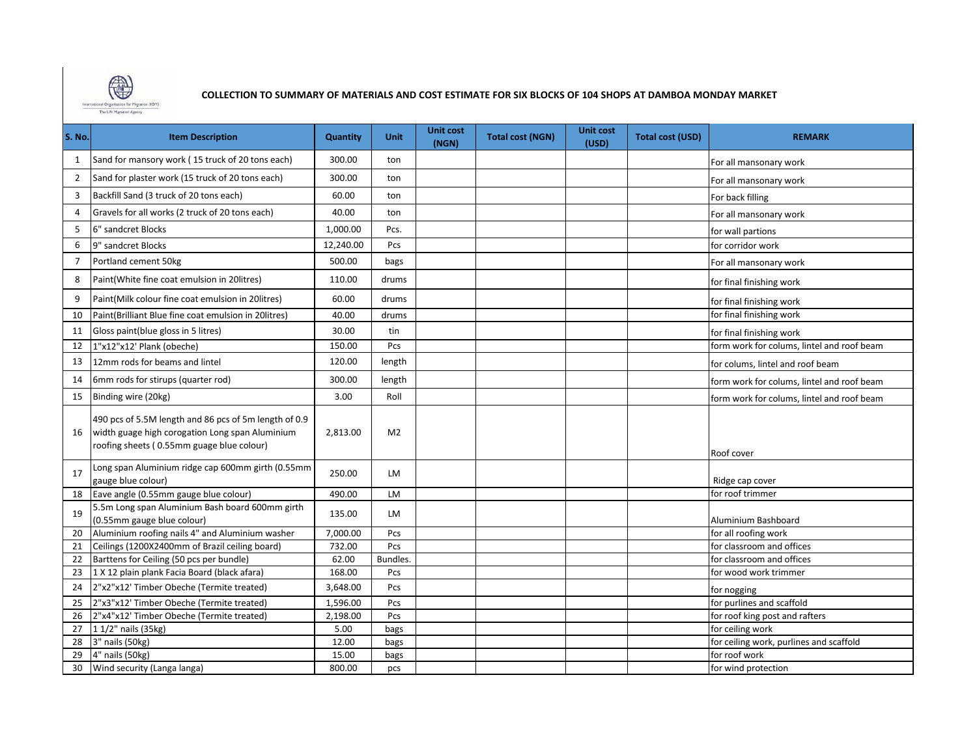

**COLLECTION TO SUMMARY OF MATERIALS AND COST ESTIMATE FOR SIX BLOCKS OF 104 SHOPS AT DAMBOA MONDAY MARKET** 

| S. No.         | <b>Item Description</b>                                                                                                                               | <b>Quantity</b> | <b>Unit</b>    | <b>Unit cost</b><br>(NGN) | <b>Total cost (NGN)</b> | <b>Unit cost</b><br>(USD) | <b>Total cost (USD)</b> | <b>REMARK</b>                              |
|----------------|-------------------------------------------------------------------------------------------------------------------------------------------------------|-----------------|----------------|---------------------------|-------------------------|---------------------------|-------------------------|--------------------------------------------|
| 1              | Sand for mansory work (15 truck of 20 tons each)                                                                                                      | 300.00          | ton            |                           |                         |                           |                         | For all mansonary work                     |
| $\overline{2}$ | Sand for plaster work (15 truck of 20 tons each)                                                                                                      | 300.00          | ton            |                           |                         |                           |                         | For all mansonary work                     |
| 3              | Backfill Sand (3 truck of 20 tons each)                                                                                                               | 60.00           | ton            |                           |                         |                           |                         | For back filling                           |
| 4              | Gravels for all works (2 truck of 20 tons each)                                                                                                       | 40.00           | ton            |                           |                         |                           |                         | For all mansonary work                     |
| 5              | 6" sandcret Blocks                                                                                                                                    | 1,000.00        | Pcs.           |                           |                         |                           |                         | for wall partions                          |
| 6              | 9" sandcret Blocks                                                                                                                                    | 12,240.00       | Pcs            |                           |                         |                           |                         | for corridor work                          |
| 7              | Portland cement 50kg                                                                                                                                  | 500.00          | bags           |                           |                         |                           |                         | For all mansonary work                     |
| 8              | Paint(White fine coat emulsion in 20litres)                                                                                                           | 110.00          | drums          |                           |                         |                           |                         | for final finishing work                   |
| 9              | Paint(Milk colour fine coat emulsion in 20litres)                                                                                                     | 60.00           | drums          |                           |                         |                           |                         | for final finishing work                   |
| 10             | Paint(Brilliant Blue fine coat emulsion in 20litres)                                                                                                  | 40.00           | drums          |                           |                         |                           |                         | for final finishing work                   |
| 11             | Gloss paint(blue gloss in 5 litres)                                                                                                                   | 30.00           | tin            |                           |                         |                           |                         | for final finishing work                   |
| 12             | 1"x12"x12' Plank (obeche)                                                                                                                             | 150.00          | Pcs            |                           |                         |                           |                         | form work for colums, lintel and roof beam |
| 13             | 12mm rods for beams and lintel                                                                                                                        | 120.00          | length         |                           |                         |                           |                         | for colums, lintel and roof beam           |
| 14             | 6mm rods for stirups (quarter rod)                                                                                                                    | 300.00          | length         |                           |                         |                           |                         | form work for colums, lintel and roof beam |
| 15             | Binding wire (20kg)                                                                                                                                   | 3.00            | Roll           |                           |                         |                           |                         | form work for colums, lintel and roof beam |
| 16             | 490 pcs of 5.5M length and 86 pcs of 5m length of 0.9<br>width guage high corogation Long span Aluminium<br>roofing sheets (0.55mm guage blue colour) | 2,813.00        | M <sub>2</sub> |                           |                         |                           |                         | Roof cover                                 |
| 17             | Long span Aluminium ridge cap 600mm girth (0.55mm<br>gauge blue colour)                                                                               | 250.00          | LM             |                           |                         |                           |                         | Ridge cap cover                            |
| 18             | Eave angle (0.55mm gauge blue colour)                                                                                                                 | 490.00          | LM             |                           |                         |                           |                         | for roof trimmer                           |
| 19             | 5.5m Long span Aluminium Bash board 600mm girth<br>(0.55mm gauge blue colour)                                                                         | 135.00          | LM             |                           |                         |                           |                         | Aluminium Bashboard                        |
| 20             | Aluminium roofing nails 4" and Aluminium washer                                                                                                       | 7,000.00        | Pcs            |                           |                         |                           |                         | for all roofing work                       |
| 21             | Ceilings (1200X2400mm of Brazil ceiling board)                                                                                                        | 732.00          | Pcs            |                           |                         |                           |                         | for classroom and offices                  |
| 22             | Barttens for Ceiling (50 pcs per bundle)                                                                                                              | 62.00           | Bundles.       |                           |                         |                           |                         | for classroom and offices                  |
| 23             | 1 X 12 plain plank Facia Board (black afara)                                                                                                          | 168.00          | Pcs            |                           |                         |                           |                         | for wood work trimmer                      |
| 24             | 2"x2"x12' Timber Obeche (Termite treated)                                                                                                             | 3,648.00        | Pcs            |                           |                         |                           |                         | for nogging                                |
| 25             | 2"x3"x12' Timber Obeche (Termite treated)                                                                                                             | 1,596.00        | Pcs            |                           |                         |                           |                         | for purlines and scaffold                  |
| 26             | 2"x4"x12' Timber Obeche (Termite treated)                                                                                                             | 2,198.00        | Pcs            |                           |                         |                           |                         | for roof king post and rafters             |
| 27             | 1 1/2" nails (35kg)                                                                                                                                   | 5.00            | bags           |                           |                         |                           |                         | for ceiling work                           |
| 28             | 3" nails (50kg)                                                                                                                                       | 12.00           | bags           |                           |                         |                           |                         | for ceiling work, purlines and scaffold    |
| 29             | 4" nails (50kg)                                                                                                                                       | 15.00           | bags           |                           |                         |                           |                         | for roof work                              |
| 30             | Wind security (Langa langa)                                                                                                                           | 800.00          | pcs            |                           |                         |                           |                         | for wind protection                        |